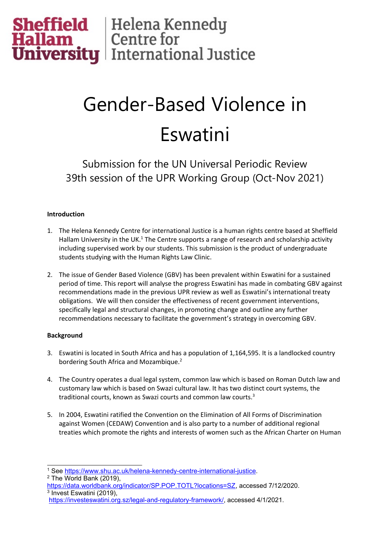

# Gender-Based Violence in Eswatini

Submission for the UN Universal Periodic Review 39th session of the UPR Working Group (Oct-Nov 2021)

# **Introduction**

- 1. The Helena Kennedy Centre for international Justice is <sup>a</sup> human rights centre based at Sheffield Hallam University in the UK. $^{\rm 1}$  The Centre supports a range of research and scholarship activity including supervised work by our students. This submission is the product of undergraduate students studying with the Human Rights Law Clinic.
- 2. The issue of Gender Based Violence (GBV) has been prevalent within Eswatini for <sup>a</sup> sustained period of time. This report will analyse the progress Eswatini has made in combating GBV against recommendations made in the previous UPR review as well as Eswatini'<sup>s</sup> international treaty obligations. We will then consider the effectiveness of recent government interventions, specifically legal and structural changes, in promoting change and outline any further recommendations necessary to facilitate the government'<sup>s</sup> strategy in overcoming GBV.

## **Background**

- 3. Eswatini is located in South Africa and has <sup>a</sup> population of 1,164,595. It is <sup>a</sup> landlocked country bordering South Africa and Mozambique.<sup>2</sup>
- 4. The Country operates <sup>a</sup> dual legal system, common law which is based on Roman Dutch law and customary law which is based on Swazi cultural law. It has two distinct court systems, the traditional courts, known as Swazi courts and common law courts. 3
- 5. In 2004, Eswatini ratified the Convention on the Elimination of All Forms of Discrimination against Women (CEDAW) Convention and is also party to <sup>a</sup> number of additional regional treaties which promote the rights and interests of women such as the African Charter on Human

2 The World Bank (2019),

<sup>1</sup> See <https://www.shu.ac.uk/helena-kennedy-centre-international-justice>.

<https://data.worldbank.org/indicator/SP.POP.TOTL?locations=SZ>, accessed 7/12/2020. 3 Invest Eswatini (2019),

<https://investeswatini.org.sz/legal-and-regulatory-framework/>, accessed 4/1/2021.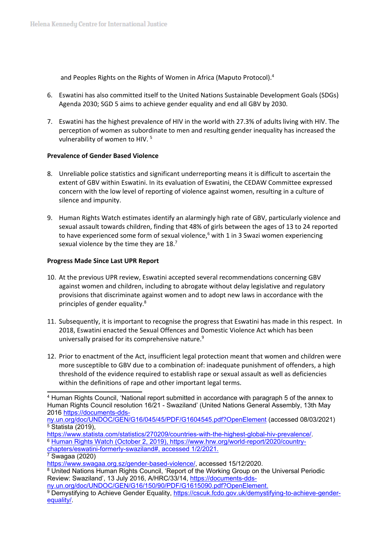and Peoples Rights on the Rights of Women in Africa (Maputo Protocol). 4

- 6. Eswatini has also committed itself to the United Nations Sustainable Development Goals (SDGs) Agenda 2030; SGD 5 aims to achieve gender equality and end all GBV by 2030.
- 7. Eswatini has the highest prevalence of HIV in the world with 27.3% of adults living with HIV. The perception of women as subordinate to men and resulting gender inequality has increased the vulnerability of women to HIV. <sup>5</sup>

## **Prevalence of Gender Based Violence**

- 8. Unreliable police statistics and significant underreporting means it is difficult to ascertain the extent of GBV within Eswatini. In its evaluation of Eswatini, the CEDAW Committee expressed concern with the low level of reporting of violence against women, resulting in <sup>a</sup> culture of silence and impunity.
- 9. Human Rights Watch estimates identify an alarmingly high rate of GBV, particularly violence and sexual assault towards children, finding that 48% of girls between the ages of 13 to 24 reported to have experienced some form of sexual violence,<sup>6</sup> with 1 in 3 Swazi women experiencing sexual violence by the time they are 18.<sup>7</sup>

## **Progress Made Since Last UPR Report**

- 10. At the previous UPR review, Eswatini accepted several recommendations concerning GBV against women and children, including to abrogate without delay legislative and regulatory provisions that discriminate against women and to adopt new laws in accordance with the principles of gender equality.<sup>8</sup>
- 11. Subsequently, it is important to recognise the progress that Eswatini has made in this respect. In 2018, Eswatini enacted the Sexual Offences and Domestic Violence Act which has been universally praised for its comprehensive nature.<sup>9</sup>
- 12. Prior to enactment of the Act, insufficient legal protection meant that women and children were more susceptible to GBV due to <sup>a</sup> combination of: inadequate punishment of offenders, <sup>a</sup> high threshold of the evidence required to establish rape or sexual assault as well as deficiencies within the definitions of rape and other important legal terms.

<sup>4</sup> Human Rights Council, 'National report submitted in accordance with paragraph 5 of the annex to Human Rights Council resolution 16/21 - Swaziland' (United Nations General Assembly, 13th May 2016 [https://documents-dds-](https://documents-dds-ny.un.org/doc/UNDOC/GEN/G16/045/45/PDF/G1604545.pdf?OpenElement)

[ny.un.org/doc/UNDOC/GEN/G16/045/45/PDF/G1604545.pdf?OpenElement](https://documents-dds-ny.un.org/doc/UNDOC/GEN/G16/045/45/PDF/G1604545.pdf?OpenElement) (accessed 08/03/2021)  $5$  Statista (2019),

<https://www.statista.com/statistics/270209/countries-with-the-highest-global-hiv-prevalence/>. <sup>6</sup> Human Rights Watch (October 2, 2019), https://www.hrw.org/world-report/2020/country-

chapters/eswatini-formerly-swaziland#, accessed 1/2/2021.

 $7$  Swagaa (2020)

<https://www.swagaa.org.sz/gender-based-violence/>, accessed 15/12/2020.

<sup>8</sup> United Nations Human Rights Council, 'Report of the Working Group on the Universal Periodic Review: Swaziland', 13 July 2016, A/HRC/33/14, [https://documents-dds-](https://documents-dds-ny.un.org/doc/UNDOC/GEN/G16/150/90/PDF/G1615090.pdf?OpenElement)

[ny.un.org/doc/UNDOC/GEN/G16/150/90/PDF/G1615090.pdf?OpenElement](https://documents-dds-ny.un.org/doc/UNDOC/GEN/G16/150/90/PDF/G1615090.pdf?OpenElement).

<sup>9</sup> Demystifying to Achieve Gender Equality, [https://cscuk.fcdo.gov.uk/demystifying-to-achieve-gender](https://cscuk.fcdo.gov.uk/demystifying-to-achieve-gender-equality/)[equality/](https://cscuk.fcdo.gov.uk/demystifying-to-achieve-gender-equality/).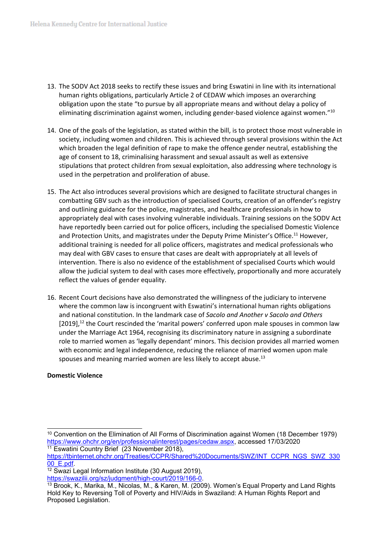- 13. The SODV Act 2018 seeks to rectify these issues and bring Eswatini in line with its international human rights obligations, particularly Article 2 of CEDAW which imposes an overarching obligation upon the state "to pursue by all appropriate means and without delay <sup>a</sup> policy of eliminating discrimination against women, including gender-based violence against women."<sup>10</sup>
- 14. One of the goals of the legislation, as stated within the bill, is to protect those most vulnerable in society, including women and children. This is achieved through several provisions within the Act which broaden the legal definition of rape to make the offence gender neutral, establishing the age of consent to 18, criminalising harassment and sexual assault as well as extensive stipulations that protect children from sexual exploitation, also addressing where technology is used in the perpetration and proliferation of abuse.
- 15. The Act also introduces several provisions which are designed to facilitate structural changes in combatting GBV such as the introduction of specialised Courts, creation of an offender'<sup>s</sup> registry and outlining guidance for the police, magistrates, and healthcare professionals in how to appropriately deal with cases involving vulnerable individuals. Training sessions on the SODV Act have reportedly been carried out for police officers, including the specialised Domestic Violence and Protection Units, and magistrates under the Deputy Prime Minister's Office.<sup>11</sup> However, additional training is needed for all police officers, magistrates and medical professionals who may deal with GBV cases to ensure that cases are dealt with appropriately at all levels of intervention. There is also no evidence of the establishment of specialised Courts which would allow the judicial system to deal with cases more effectively, proportionally and more accurately reflect the values of gender equality.
- 16. Recent Court decisions have also demonstrated the willingness of the judiciary to intervene where the common law is incongruent with Eswatini'<sup>s</sup> international human rights obligations and national constitution. In the landmark case of *Sacolo and Another <sup>v</sup> Sacolo and Others* [2019], $^{12}$  the Court rescinded the 'marital powers' conferred upon male spouses in common law under the Marriage Act 1964, recognising its discriminatory nature in assigning <sup>a</sup> subordinate role to married women as 'legally dependant' minors. This decision provides all married women with economic and legal independence, reducing the reliance of married women upon male spouses and meaning married women are less likely to accept abuse.<sup>13</sup>

## **Domestic Violence**

<sup>10</sup> Convention on the Elimination of All Forms of Discrimination against Women (18 December 1979) <https://www.ohchr.org/en/professionalinterest/pages/cedaw.aspx>, accessed 17/03/2020 <sup>11</sup> Eswatini Country Brief (23 November 2018),

[https://tbinternet.ohchr.org/Treaties/CCPR/Shared%20Documents/SWZ/INT\\_CCPR\\_NGS\\_SWZ\\_330](https://tbinternet.ohchr.org/Treaties/CCPR/Shared%20Documents/SWZ/INT_CCPR_NGS_SWZ_33000_E.pdf) [00\\_E.pdf](https://tbinternet.ohchr.org/Treaties/CCPR/Shared%20Documents/SWZ/INT_CCPR_NGS_SWZ_33000_E.pdf).

<sup>&</sup>lt;sup>12</sup> Swazi Legal Information Institute (30 August 2019),

<https://swazilii.org/sz/judgment/high-court/2019/166-0>.

<sup>&</sup>lt;sup>13</sup> Brook, K., Marika, M., Nicolas, M., & Karen, M. (2009). Women's Equal Property and Land Rights Hold Key to Reversing Toll of Poverty and HIV/Aids in Swaziland: A Human Rights Report and Proposed Legislation.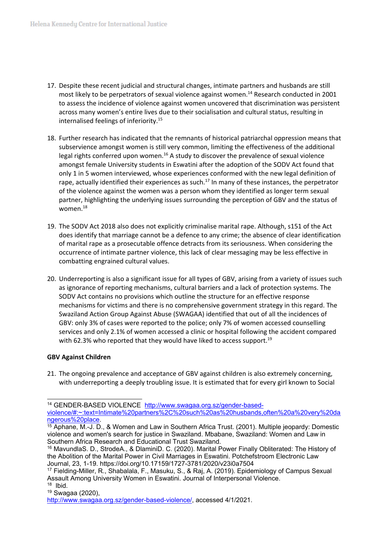- 17. Despite these recent judicial and structural changes, intimate partners and husbands are still most likely to be perpetrators of sexual violence against women. 14 Research conducted in 2001 to assess the incidence of violence against women uncovered that discrimination was persistent across many women'<sup>s</sup> entire lives due to their socialisation and cultural status, resulting in internalised feelings of inferiority. 15
- 18. Further research has indicated that the remnants of historical patriarchal oppression means that subservience amongst women is still very common, limiting the effectiveness of the additional legal rights conferred upon women.<sup>16</sup> A study to discover the prevalence of sexual violence amongst female University students in Eswatini after the adoption of the SODV Act found that only 1 in 5 women interviewed, whose experiences conformed with the new legal definition of rape, actually identified their experiences as such.<sup>17</sup> In many of these instances, the perpetrator of the violence against the women was <sup>a</sup> person whom they identified as longer term sexual partner, highlighting the underlying issues surrounding the perception of GBV and the status of women. $^{\rm 18}$
- 19. The SODV Act 2018 also does not explicitly criminalise marital rape. Although, s151 of the Act does identify that marriage cannot be <sup>a</sup> defence to any crime; the absence of clear identification of marital rape as <sup>a</sup> prosecutable offence detracts from its seriousness. When considering the occurrence of intimate partner violence, this lack of clear messaging may be less effective in combatting engrained cultural values.
- 20. Underreporting is also <sup>a</sup> significant issue for all types of GBV, arising from <sup>a</sup> variety of issues such as ignorance of reporting mechanisms, cultural barriers and <sup>a</sup> lack of protection systems. The SODV Act contains no provisions which outline the structure for an effective response mechanisms for victims and there is no comprehensive government strategy in this regard. The Swaziland Action Group Against Abuse (SWAGAA) identified that out of all the incidences of GBV: only 3% of cases were reported to the police; only 7% of women accessed counselling services and only 2.1% of women accessed <sup>a</sup> clinic or hospital following the accident compared with 62.3% who reported that they would have liked to access support.<sup>19</sup>

#### **GBV Against Children**

21. The ongoing prevalence and acceptance of GBV against children is also extremely concerning, with underreporting <sup>a</sup> deeply troubling issue. It is estimated that for every girl known to Social

<sup>14</sup> GENDER-BASED VIOLENCE [http://www.swagaa.org.sz/gender-based](http://www.swagaa.org.sz/gender-based-violence/#:~:text=Intimate%20partners%2C%20such%20as%20husbands,often%20a%20very%20dangerous%20place)[violence/#:~:text=Intimate%20partners%2C%20such%20as%20husbands,often%20a%20very%20da](http://www.swagaa.org.sz/gender-based-violence/#:~:text=Intimate%20partners%2C%20such%20as%20husbands,often%20a%20very%20dangerous%20place) [ngerous%20place](http://www.swagaa.org.sz/gender-based-violence/#:~:text=Intimate%20partners%2C%20such%20as%20husbands,often%20a%20very%20dangerous%20place).

 $15$  Aphane, M.-J. D., & Women and Law in Southern Africa Trust. (2001). Multiple jeopardy: Domestic violence and women's search for justice in Swaziland. Mbabane, Swaziland: Women and Law in Southern Africa Research and Educational Trust Swaziland.

<sup>16</sup> MavundlaS. D., StrodeA., & DlaminiD. C. (2020). Marital Power Finally Obliterated: The History of the Abolition of the Marital Power in Civil Marriages in Eswatini. Potchefstroom Electronic Law Journal, 23, 1-19. https://doi.org/10.17159/1727-3781/2020/v23i0a7504

<sup>&</sup>lt;sup>17</sup> Fielding-Miller, R., Shabalala, F., Masuku, S., & Raj, A. (2019). Epidemiology of Campus Sexua Assault Among University Women in Eswatini. Journal of Interpersonal Violence.

<sup>18</sup> Ibid.

<sup>19</sup> Swagaa (2020),

<http://www.swagaa.org.sz/gender-based-violence/>, accessed 4/1/2021.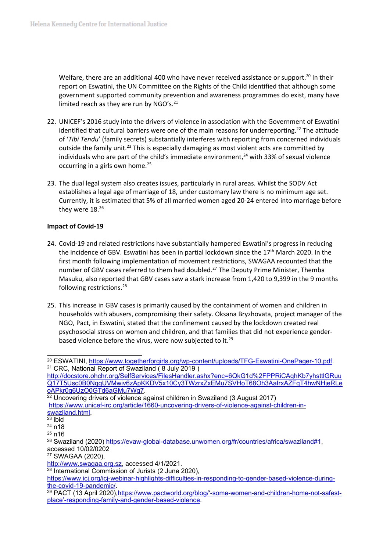Welfare, there are an additional 400 who have never received assistance or support.<sup>20</sup> In their report on Eswatini, the UN Committee on the Rights of the Child identified that although some government supported community prevention and awareness programmes do exist, many have limited reach as they are run by NGO's.<sup>21</sup>

- 22. UNICEF'<sup>s</sup> 2016 study into the drivers of violence in association with the Government of Eswatini identified that cultural barriers were one of the main reasons for underreporting.<sup>22</sup> The attitude of '*Tibi Tendu*' (family secrets) substantially interferes with reporting from concerned individuals outside the family unit.<sup>23</sup> This is especially damaging as most violent acts are committed by individuals who are part of the child's immediate environment, $^{24}$  with 33% of sexual violence occurring in a girls own home.<sup>25</sup>
- 23. The dual legal system also creates issues, particularly in rural areas. Whilst the SODV Act establishes <sup>a</sup> legal age of marriage of 18, under customary law there is no minimum age set. Currently, it is estimated that 5% of all married women aged 20-24 entered into marriage before they were 18.<sup>26</sup>

#### **Impact of Covid-19**

- 24. Covid-19 and related restrictions have substantially hampered Eswatini'<sup>s</sup> progress in reducing the incidence of GBV. Eswatini has been in partial lockdown since the  $17<sup>th</sup>$  March 2020. In the first month following implementation of movement restrictions, SWAGAA recounted that the number of GBV cases referred to them had doubled.<sup>27</sup> The Deputy Prime Minister, Themba Masuku, also reported that GBV cases saw <sup>a</sup> stark increase from 1,420 to 9,399 in the 9 months following restrictions. 28
- 25. This increase in GBV cases is primarily caused by the containment of women and children in households with abusers, compromising their safety. Oksana Bryzhovata, project manager of the NGO, Pact, in Eswatini, stated that the confinement caused by the lockdown created real psychosocial stress on women and children, and that families that did not experience genderbased violence before the virus, were now subjected to it.<sup>29</sup>

<sup>27</sup> SWAGAA (2020),

<sup>&</sup>lt;sup>20</sup> ESWATINI, <https://www.togetherforgirls.org/wp-content/uploads/TFG-Eswatini-OnePager-10.pdf>. <sup>21</sup> CRC, National Report of Swaziland ( 8 July 2019 )

[http://docstore.ohchr.org/SelfServices/FilesHandler.ashx?enc=6QkG1d%2FPPRiCAqhKb7yhsttlGRuu](http://docstore.ohchr.org/SelfServices/FilesHandler.ashx?enc=6QkG1d%2FPPRiCAqhKb7yhsttlGRuuQ17T5Usc0B0NqgUVMwiv6zApKKDV5x10Cy3TWzrxZxEMu7SVHoT68Oh3AaIrxAZFqT4hwNHjeRLeoAPkr0g6UzO0GTd6aGMu7Wg7) [Q17T5Usc0B0NqgUVMwiv6zApKKDV5x10Cy3TWzrxZxEMu7SVHoT68Oh3AaIrxAZFqT4hwNHjeRLe](http://docstore.ohchr.org/SelfServices/FilesHandler.ashx?enc=6QkG1d%2FPPRiCAqhKb7yhsttlGRuuQ17T5Usc0B0NqgUVMwiv6zApKKDV5x10Cy3TWzrxZxEMu7SVHoT68Oh3AaIrxAZFqT4hwNHjeRLeoAPkr0g6UzO0GTd6aGMu7Wg7) [oAPkr0g6UzO0GTd6aGMu7Wg7](http://docstore.ohchr.org/SelfServices/FilesHandler.ashx?enc=6QkG1d%2FPPRiCAqhKb7yhsttlGRuuQ17T5Usc0B0NqgUVMwiv6zApKKDV5x10Cy3TWzrxZxEMu7SVHoT68Oh3AaIrxAZFqT4hwNHjeRLeoAPkr0g6UzO0GTd6aGMu7Wg7).

 $22$  Uncovering drivers of violence against children in Swaziland (3 August 2017) [https://www.unicef-irc.org/article/1660-uncovering-drivers-of-violence-against-children-in](https://www.unicef-irc.org/article/1660-uncovering-drivers-of-violence-against-children-in-swaziland.html)[swaziland.html](https://www.unicef-irc.org/article/1660-uncovering-drivers-of-violence-against-children-in-swaziland.html),

<sup>23</sup> ibid

<sup>24</sup> n18

<sup>&</sup>lt;sup>25</sup> n16

<sup>&</sup>lt;sup>26</sup> Swaziland (2020) <https://evaw-global-database.unwomen.org/fr/countries/africa/swaziland#1>, accessed 10/02/0202

<http://www.swagaa.org.sz>, accessed 4/1/2021.

<sup>&</sup>lt;sup>28</sup> International Commission of Jurists (2 June 2020),

[https://www.icj.org/icj-webinar-highlights-difficulties-in-responding-to-gender-based-violence-during](https://www.icj.org/icj-webinar-highlights-difficulties-in-responding-to-gender-based-violence-during-the-covid-19-pandemic/)[the-covid-19-pandemic/](https://www.icj.org/icj-webinar-highlights-difficulties-in-responding-to-gender-based-violence-during-the-covid-19-pandemic/).

<sup>&</sup>lt;sup>29</sup> PACT (13 April 2020), https://www.pactworld.org/blog/'[-some-women-and-children-home-not-safest](https://www.pactworld.org/blog/�-some-women-and-children-home-not-safest-place�-responding-family-and-gender-based-violence)place'[-responding-family-and-gender-based-violence](https://www.pactworld.org/blog/�-some-women-and-children-home-not-safest-place�-responding-family-and-gender-based-violence).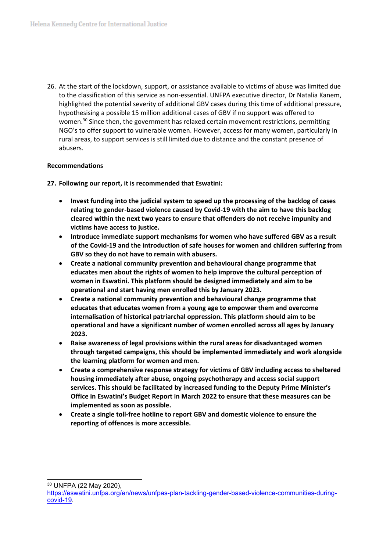26. At the start of the lockdown, support, or assistance available to victims of abuse was limited due to the classification of this service as non-essential. UNFPA executive director, Dr Natalia Kanem, highlighted the potential severity of additional GBV cases during this time of additional pressure, hypothesising <sup>a</sup> possible 15 million additional cases of GBV if no support was offered to women.<sup>30</sup> Since then, the government has relaxed certain movement restrictions, permitting NGO'<sup>s</sup> to offer support to vulnerable women. However, access for many women, particularly in rural areas, to support services is still limited due to distance and the constant presence of abusers.

## **Recommendations**

**27. Following our report, it is recommended that Eswatini:**

- $\bullet$  **Invest funding into the judicial system to speed up the processing of the backlog of cases relating to gender-based violence caused by Covid-19 with the aim to have this backlog cleared within the next two years to ensure that offenders do not receive impunity and victims have access to justice.**
- $\bullet$  **Introduce immediate support mechanisms for women who have suffered GBV as <sup>a</sup> result of the Covid-19 and the introduction of safe houses for women and children suffering from GBV so they do not have to remain with abusers.**
- c **Create <sup>a</sup> national community prevention and behavioural change programme that educates men about the rights of women to help improve the cultural perception of women in Eswatini. This platform should be designed immediately and aim to be operational and start having men enrolled this by January 2023.**
- c **Create <sup>a</sup> national community prevention and behavioural change programme that educates that educates women from <sup>a</sup> young age to empower them and overcome internalisation of historical patriarchal oppression. This platform should aim to be operational and have <sup>a</sup> significant number of women enrolled across all ages by January 2023.**
- e **Raise awareness of legal provisions within the rural areas for disadvantaged women through targeted campaigns, this should be implemented immediately and work alongside the learning platform for women and men.**
- $\bullet$  **Create <sup>a</sup> comprehensive response strategy for victims of GBV including access to sheltered housing immediately after abuse, ongoing psychotherapy and access social support services. This should be facilitated by increased funding to the Deputy Prime Minister'<sup>s</sup> Office in Eswatini'<sup>s</sup> Budget Report in March 2022 to ensure that these measures can be implemented as soon as possible.**
- **Create <sup>a</sup> single toll-free hotline to report GBV and domestic violence to ensure the reporting of offences is more accessible.**

<sup>30</sup> UNFPA (22 May 2020),

[https://eswatini.unfpa.org/en/news/unfpas-plan-tackling-gender-based-violence-communities-during](https://eswatini.unfpa.org/en/news/unfpas-plan-tackling-gender-based-violence-communities-during-covid-19)[covid-19](https://eswatini.unfpa.org/en/news/unfpas-plan-tackling-gender-based-violence-communities-during-covid-19).